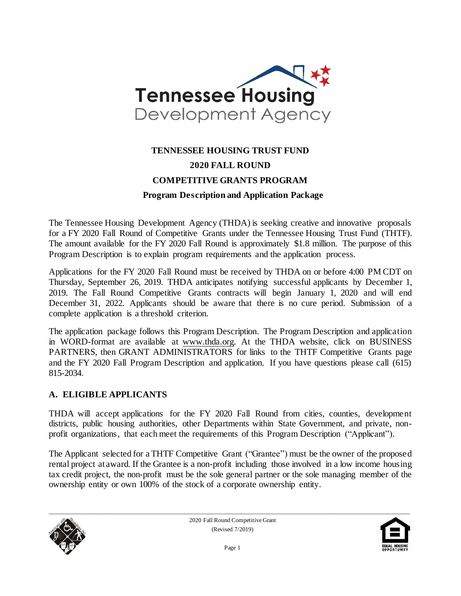

# **TENNESSEE HOUSING TRUST FUND 2020 FALL ROUND COMPETITIVE GRANTS PROGRAM Program Description and Application Package**

The Tennessee Housing Development Agency (THDA) is seeking creative and innovative proposals for a FY 2020 Fall Round of Competitive Grants under the Tennessee Housing Trust Fund (THTF). The amount available for the FY 2020 Fall Round is approximately \$1.8 million. The purpose of this Program Description is to explain program requirements and the application process.

Applications for the FY 2020 Fall Round must be received by THDA on or before 4:00 PM CDT on Thursday, September 26, 2019. THDA anticipates notifying successful applicants by December 1, 2019. The Fall Round Competitive Grants contracts will begin January 1, 2020 and will end December 31, 2022. Applicants should be aware that there is no cure period. Submission of a complete application is a threshold criterion.

The application package follows this Program Description. The Program Description and application in WORD-format are available at [www.thda.org.](file:///C:/Users/lmiller/AppData/Local/Microsoft/Windows/Documents%20and%20Settings/CHolloway/Local%20Settings/Temporary%20Internet%20Files/Content.Outlook/Local%20Settings/Temporary%20Internet%20Files/Content.Outlook/UYMA8P3Z/www.thda.org) At the THDA website, click on BUSINESS PARTNERS, then GRANT ADMINISTRATORS for links to the THTF Competitive Grants page and the FY 2020 Fall Program Description and application. If you have questions please call (615) 815-2034.

#### **A. ELIGIBLE APPLICANTS**

THDA will accept applications for the FY 2020 Fall Round from cities, counties, development districts, public housing authorities, other Departments within State Government, and private, nonprofit organizations, that each meet the requirements of this Program Description ("Applicant").

The Applicant selected for a THTF Competitive Grant ("Grantee") must be the owner of the proposed rental project at award. If the Grantee is a non-profit including those involved in a low income housing tax credit project, the non-profit must be the sole general partner or the sole managing member of the ownership entity or own 100% of the stock of a corporate ownership entity.



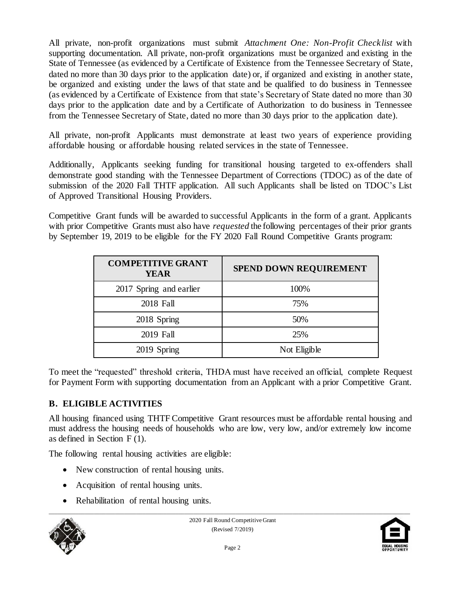All private, non-profit organizations must submit *Attachment One: Non-Profit Checklist* with supporting documentation. All private, non-profit organizations must be organized and existing in the State of Tennessee (as evidenced by a Certificate of Existence from the Tennessee Secretary of State, dated no more than 30 days prior to the application date) or, if organized and existing in another state, be organized and existing under the laws of that state and be qualified to do business in Tennessee (as evidenced by a Certificate of Existence from that state's Secretary of State dated no more than 30 days prior to the application date and by a Certificate of Authorization to do business in Tennessee from the Tennessee Secretary of State, dated no more than 30 days prior to the application date).

All private, non-profit Applicants must demonstrate at least two years of experience providing affordable housing or affordable housing related services in the state of Tennessee.

Additionally, Applicants seeking funding for transitional housing targeted to ex-offenders shall demonstrate good standing with the Tennessee Department of Corrections (TDOC) as of the date of submission of the 2020 Fall THTF application. All such Applicants shall be listed on TDOC's List of Approved Transitional Housing Providers.

Competitive Grant funds will be awarded to successful Applicants in the form of a grant. Applicants with prior Competitive Grants must also have *requested* the following percentages of their prior grants by September 19, 2019 to be eligible for the FY 2020 Fall Round Competitive Grants program:

| <b>COMPETITIVE GRANT</b><br>YEAR | <b>SPEND DOWN REQUIREMENT</b> |
|----------------------------------|-------------------------------|
| 2017 Spring and earlier          | 100%                          |
| 2018 Fall                        | 75%                           |
| 2018 Spring                      | 50%                           |
| 2019 Fall                        | 25%                           |
| 2019 Spring                      | Not Eligible                  |

To meet the "requested" threshold criteria, THDA must have received an official, complete Request for Payment Form with supporting documentation from an Applicant with a prior Competitive Grant.

## **B. ELIGIBLE ACTIVITIES**

All housing financed using THTF Competitive Grant resources must be affordable rental housing and must address the housing needs of households who are low, very low, and/or extremely low income as defined in Section F (1).

The following rental housing activities are eligible:

- New construction of rental housing units.
- Acquisition of rental housing units.
- Rehabilitation of rental housing units.



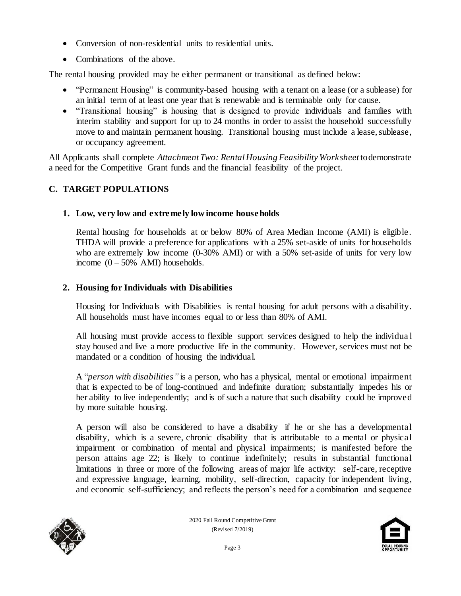- Conversion of non-residential units to residential units.
- Combinations of the above.

The rental housing provided may be either permanent or transitional as defined below:

- "Permanent Housing" is community-based housing with a tenant on a lease (or a sublease) for an initial term of at least one year that is renewable and is terminable only for cause.
- "Transitional housing" is housing that is designed to provide individuals and families with interim stability and support for up to 24 months in order to assist the household successfully move to and maintain permanent housing. Transitional housing must include a lease, sublease, or occupancy agreement.

All Applicants shall complete *Attachment Two: Rental Housing Feasibility Worksheet* to demonstrate a need for the Competitive Grant funds and the financial feasibility of the project.

## **C. TARGET POPULATIONS**

## **1. Low, very low and extremely low income households**

Rental housing for households at or below 80% of Area Median Income (AMI) is eligible. THDA will provide a preference for applications with a 25% set-aside of units for households who are extremely low income (0-30% AMI) or with a 50% set-aside of units for very low income  $(0 - 50\%$  AMI) households.

## **2. Housing for Individuals with Disabilities**

Housing for Individuals with Disabilities is rental housing for adult persons with a disability. All households must have incomes equal to or less than 80% of AMI.

All housing must provide access to flexible support services designed to help the individua l stay housed and live a more productive life in the community. However, services must not be mandated or a condition of housing the individual.

A "*person with disabilities"* is a person, who has a physical, mental or emotional impairment that is expected to be of long-continued and indefinite duration; substantially impedes his or her ability to live independently; and is of such a nature that such disability could be improved by more suitable housing.

A person will also be considered to have a disability if he or she has a developmental disability, which is a severe, chronic disability that is attributable to a mental or physical impairment or combination of mental and physical impairments; is manifested before the person attains age 22; is likely to continue indefinitely; results in substantial functional limitations in three or more of the following areas of major life activity: self-care, receptive and expressive language, learning, mobility, self-direction, capacity for independent living, and economic self-sufficiency; and reflects the person's need for a combination and sequence



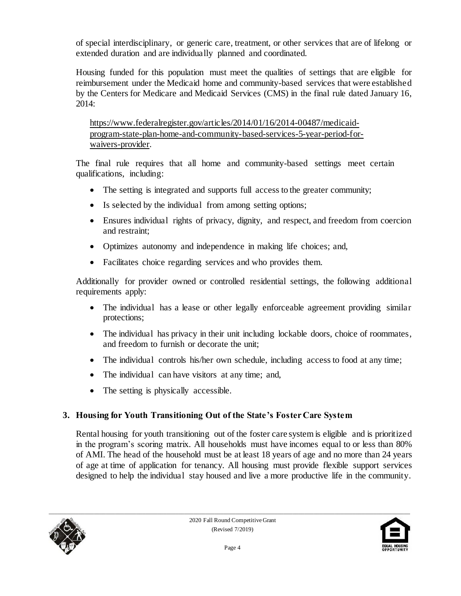of special interdisciplinary, or generic care, treatment, or other services that are of lifelong or extended duration and are individually planned and coordinated.

Housing funded for this population must meet the qualities of settings that are eligible for reimbursement under the Medicaid home and community-based services that were established by the Centers for Medicare and Medicaid Services (CMS) in the final rule dated January 16, 2014:

[https://www.federalregister.gov/articles/2014/01/16/2014-00487/medicaid](https://www.federalregister.gov/articles/2014/01/16/2014-00487/medicaid-program-state-plan-home-and-community-based-services-5-year-period-for-waivers-provider)[program-state-plan-home-and-community-based-services-5-year-period-for](https://www.federalregister.gov/articles/2014/01/16/2014-00487/medicaid-program-state-plan-home-and-community-based-services-5-year-period-for-waivers-provider)[waivers-provider.](https://www.federalregister.gov/articles/2014/01/16/2014-00487/medicaid-program-state-plan-home-and-community-based-services-5-year-period-for-waivers-provider) 

The final rule requires that all home and community-based settings meet certain qualifications, including:

- The setting is integrated and supports full access to the greater community;
- Is selected by the individual from among setting options;
- Ensures individual rights of privacy, dignity, and respect, and freedom from coercion and restraint;
- Optimizes autonomy and independence in making life choices; and,
- Facilitates choice regarding services and who provides them.

Additionally for provider owned or controlled residential settings, the following additional requirements apply:

- The individual has a lease or other legally enforceable agreement providing similar protections;
- The individual has privacy in their unit including lockable doors, choice of roommates, and freedom to furnish or decorate the unit;
- The individual controls his/her own schedule, including access to food at any time;
- The individual can have visitors at any time; and,
- The setting is physically accessible.

## **3. Housing for Youth Transitioning Out of the State's Foster Care System**

Rental housing for youth transitioning out of the foster care system is eligible and is prioritized in the program's scoring matrix. All households must have incomes equal to or less than 80% of AMI. The head of the household must be at least 18 years of age and no more than 24 years of age at time of application for tenancy. All housing must provide flexible support services designed to help the individual stay housed and live a more productive life in the community.



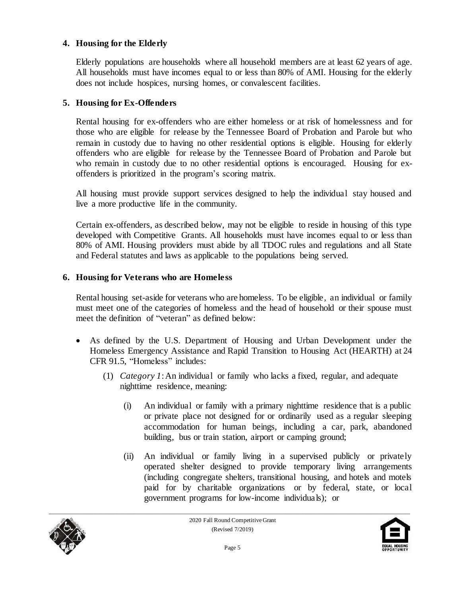#### **4. Housing for the Elderly**

Elderly populations are households where all household members are at least 62 years of age. All households must have incomes equal to or less than 80% of AMI. Housing for the elderly does not include hospices, nursing homes, or convalescent facilities.

#### **5. Housing for Ex-Offenders**

Rental housing for ex-offenders who are either homeless or at risk of homelessness and for those who are eligible for release by the Tennessee Board of Probation and Parole but who remain in custody due to having no other residential options is eligible. Housing for elderly offenders who are eligible for release by the Tennessee Board of Probation and Parole but who remain in custody due to no other residential options is encouraged. Housing for exoffenders is prioritized in the program's scoring matrix.

All housing must provide support services designed to help the individual stay housed and live a more productive life in the community.

Certain ex-offenders, as described below, may not be eligible to reside in housing of this type developed with Competitive Grants. All households must have incomes equal to or less than 80% of AMI. Housing providers must abide by all TDOC rules and regulations and all State and Federal statutes and laws as applicable to the populations being served.

#### **6. Housing for Veterans who are Homeless**

Rental housing set-aside for veterans who are homeless. To be eligible, an individual or family must meet one of the categories of homeless and the head of household or their spouse must meet the definition of "veteran" as defined below:

- As defined by the U.S. Department of Housing and Urban Development under the Homeless Emergency Assistance and Rapid Transition to Housing Act (HEARTH) at 24 CFR 91.5, "Homeless" includes:
	- (1) *Category 1*:An individual or family who lacks a fixed, regular, and adequate nighttime residence, meaning:
		- (i) An individual or family with a primary nighttime residence that is a public or private place not designed for or ordinarily used as a regular sleeping accommodation for human beings, including a car, park, abandoned building, bus or train station, airport or camping ground;
		- (ii) An individual or family living in a supervised publicly or privately operated shelter designed to provide temporary living arrangements (including congregate shelters, transitional housing, and hotels and motels paid for by charitable organizations or by federal, state, or local government programs for low-income individuals); or



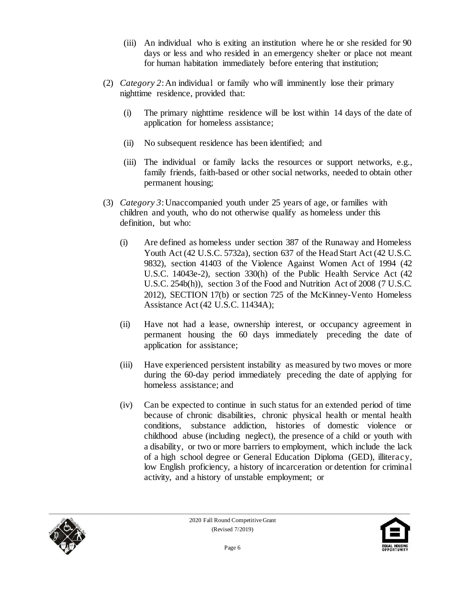- (iii) An individual who is exiting an institution where he or she resided for 90 days or less and who resided in an emergency shelter or place not meant for human habitation immediately before entering that institution;
- (2) *Category 2*:An individual or family who will imminently lose their primary nighttime residence, provided that:
	- (i) The primary nighttime residence will be lost within 14 days of the date of application for homeless assistance;
	- (ii) No subsequent residence has been identified; and
	- (iii) The individual or family lacks the resources or support networks, e.g., family friends, faith-based or other social networks, needed to obtain other permanent housing;
- (3) *Category 3*:Unaccompanied youth under 25 years of age, or families with children and youth, who do not otherwise qualify as homeless under this definition, but who:
	- (i) Are defined as homeless under section 387 of the Runaway and Homeless Youth Act (42 U.S.C. 5732a), section 637 of the Head Start Act (42 U.S.C. 9832), section 41403 of the Violence Against Women Act of 1994 (42 U.S.C. 14043e-2), section 330(h) of the Public Health Service Act (42 U.S.C. 254b(h)), section 3 of the Food and Nutrition Act of 2008 (7 U.S.C. 2012), SECTION 17(b) or section 725 of the McKinney-Vento Homeless Assistance Act (42 U.S.C. 11434A);
	- (ii) Have not had a lease, ownership interest, or occupancy agreement in permanent housing the 60 days immediately preceding the date of application for assistance;
	- (iii) Have experienced persistent instability as measured by two moves or more during the 60-day period immediately preceding the date of applying for homeless assistance; and
	- (iv) Can be expected to continue in such status for an extended period of time because of chronic disabilities, chronic physical health or mental health conditions, substance addiction, histories of domestic violence or childhood abuse (including neglect), the presence of a child or youth with a disability, or two or more barriers to employment, which include the lack of a high school degree or General Education Diploma (GED), illiteracy, low English proficiency, a history of incarceration or detention for criminal activity, and a history of unstable employment; or



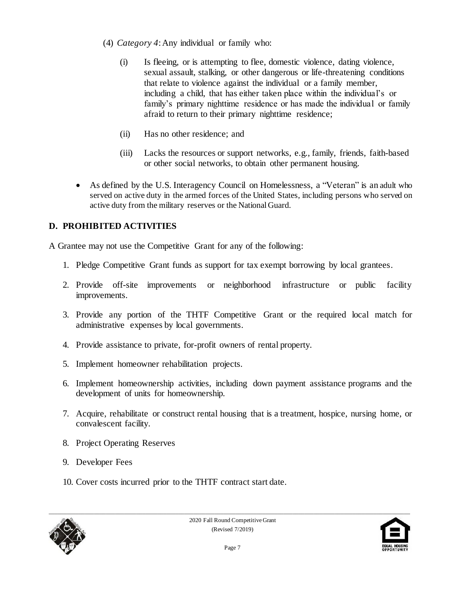- (4) *Category 4*:Any individual or family who:
	- (i) Is fleeing, or is attempting to flee, domestic violence, dating violence, sexual assault, stalking, or other dangerous or life-threatening conditions that relate to violence against the individual or a family member, including a child, that has either taken place within the individual's or family's primary nighttime residence or has made the individual or family afraid to return to their primary nighttime residence;
	- (ii) Has no other residence; and
	- (iii) Lacks the resources or support networks, e.g., family, friends, faith-based or other social networks, to obtain other permanent housing.
- As defined by the U.S. Interagency Council on Homelessness, a "Veteran" is an adult who served on active duty in the armed forces of the United States, including persons who served on active duty from the military reserves or the National Guard.

### **D. PROHIBITED ACTIVITIES**

A Grantee may not use the Competitive Grant for any of the following:

- 1. Pledge Competitive Grant funds as support for tax exempt borrowing by local grantees.
- 2. Provide off-site improvements or neighborhood infrastructure or public facility improvements.
- 3. Provide any portion of the THTF Competitive Grant or the required local match for administrative expenses by local governments.
- 4. Provide assistance to private, for-profit owners of rental property.
- 5. Implement homeowner rehabilitation projects.
- 6. Implement homeownership activities, including down payment assistance programs and the development of units for homeownership.
- 7. Acquire, rehabilitate or construct rental housing that is a treatment, hospice, nursing home, or convalescent facility.
- 8. Project Operating Reserves
- 9. Developer Fees
- 10. Cover costs incurred prior to the THTF contract start date.



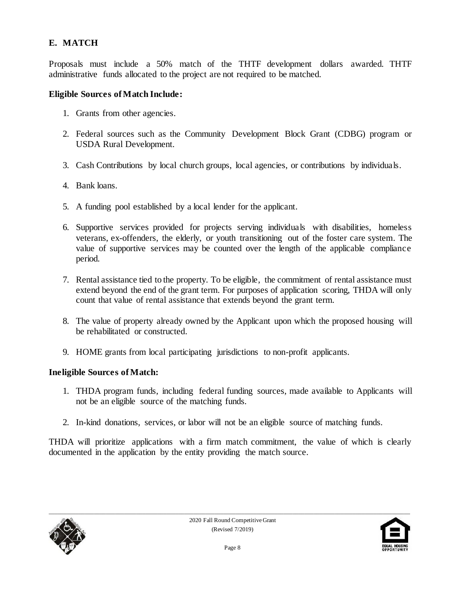### **E. MATCH**

Proposals must include a 50% match of the THTF development dollars awarded. THTF administrative funds allocated to the project are not required to be matched.

#### **Eligible Sources of Match Include:**

- 1. Grants from other agencies.
- 2. Federal sources such as the Community Development Block Grant (CDBG) program or USDA Rural Development.
- 3. Cash Contributions by local church groups, local agencies, or contributions by individuals.
- 4. Bank loans.
- 5. A funding pool established by a local lender for the applicant.
- 6. Supportive services provided for projects serving individuals with disabilities, homeless veterans, ex-offenders, the elderly, or youth transitioning out of the foster care system. The value of supportive services may be counted over the length of the applicable compliance period.
- 7. Rental assistance tied to the property. To be eligible, the commitment of rental assistance must extend beyond the end of the grant term. For purposes of application scoring, THDA will only count that value of rental assistance that extends beyond the grant term.
- 8. The value of property already owned by the Applicant upon which the proposed housing will be rehabilitated or constructed.
- 9. HOME grants from local participating jurisdictions to non-profit applicants.

#### **Ineligible Sources of Match:**

- 1. THDA program funds, including federal funding sources, made available to Applicants will not be an eligible source of the matching funds.
- 2. In-kind donations, services, or labor will not be an eligible source of matching funds.

THDA will prioritize applications with a firm match commitment, the value of which is clearly documented in the application by the entity providing the match source.



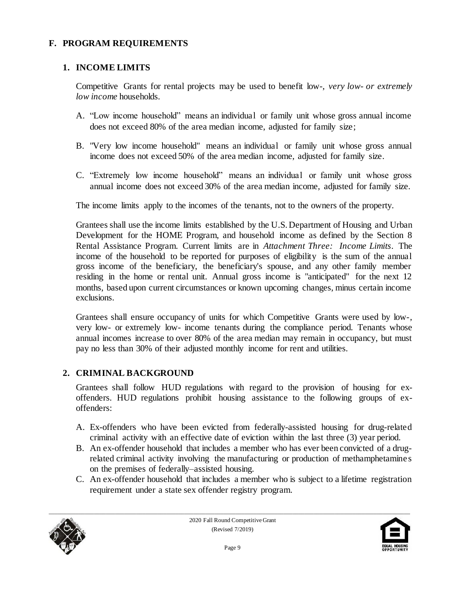#### **F. PROGRAM REQUIREMENTS**

#### **1. INCOME LIMITS**

Competitive Grants for rental projects may be used to benefit low-, *very low- or extremely low income* households.

- A. "Low income household" means an individual or family unit whose gross annual income does not exceed 80% of the area median income, adjusted for family size;
- B. "Very low income household" means an individual or family unit whose gross annual income does not exceed 50% of the area median income, adjusted for family size.
- C. "Extremely low income household" means an individual or family unit whose gross annual income does not exceed 30% of the area median income, adjusted for family size.

The income limits apply to the incomes of the tenants, not to the owners of the property.

Grantees shall use the income limits established by the U.S. Department of Housing and Urban Development for the HOME Program, and household income as defined by the Section 8 Rental Assistance Program. Current limits are in *Attachment Three: Income Limits*. The income of the household to be reported for purposes of eligibility is the sum of the annual gross income of the beneficiary, the beneficiary's spouse, and any other family member residing in the home or rental unit. Annual gross income is "anticipated" for the next 12 months, based upon current circumstances or known upcoming changes, minus certain income exclusions.

Grantees shall ensure occupancy of units for which Competitive Grants were used by low-, very low- or extremely low- income tenants during the compliance period. Tenants whose annual incomes increase to over 80% of the area median may remain in occupancy, but must pay no less than 30% of their adjusted monthly income for rent and utilities.

#### **2. CRIMINAL BACKGROUND**

Grantees shall follow HUD regulations with regard to the provision of housing for exoffenders. HUD regulations prohibit housing assistance to the following groups of exoffenders:

- A. Ex-offenders who have been evicted from federally-assisted housing for drug-related criminal activity with an effective date of eviction within the last three (3) year period.
- B. An ex-offender household that includes a member who has ever been convicted of a drugrelated criminal activity involving the manufacturing or production of methamphetamine s on the premises of federally–assisted housing.
- C. An ex-offender household that includes a member who is subject to a lifetime registration requirement under a state sex offender registry program.



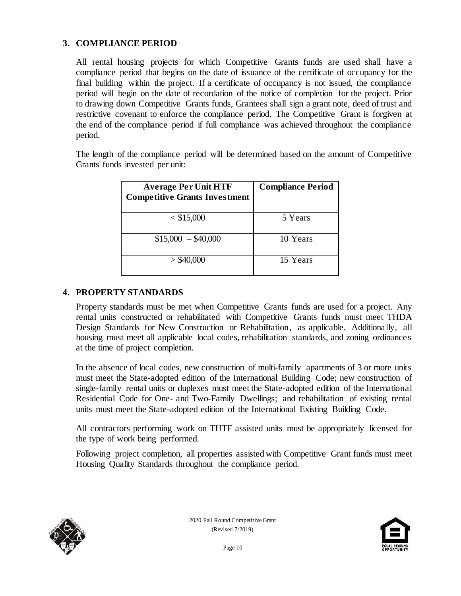#### **3. COMPLIANCE PERIOD**

All rental housing projects for which Competitive Grants funds are used shall have a compliance period that begins on the date of issuance of the certificate of occupancy for the final building within the project. If a certificate of occupancy is not issued, the compliance period will begin on the date of recordation of the notice of completion for the project. Prior to drawing down Competitive Grants funds, Grantees shall sign a grant note, deed of trust and restrictive covenant to enforce the compliance period. The Competitive Grant is forgiven at the end of the compliance period if full compliance was achieved throughout the compliance period.

The length of the compliance period will be determined based on the amount of Competitive Grants funds invested per unit:

| <b>Average Per Unit HTF</b><br><b>Competitive Grants Investment</b> | <b>Compliance Period</b> |
|---------------------------------------------------------------------|--------------------------|
| $<$ \$15,000                                                        | 5 Years                  |
| $$15,000 - $40,000$                                                 | 10 Years                 |
| $>$ \$40,000                                                        | 15 Years                 |

#### **4. PROPERTY STANDARDS**

Property standards must be met when Competitive Grants funds are used for a project. Any rental units constructed or rehabilitated with Competitive Grants funds must meet THDA Design Standards for New Construction or Rehabilitation, as applicable. Additionally, all housing must meet all applicable local codes, rehabilitation standards, and zoning ordinances at the time of project completion.

In the absence of local codes, new construction of multi-family apartments of 3 or more units must meet the State-adopted edition of the International Building Code; new construction of single-family rental units or duplexes must meet the State-adopted edition of the International Residential Code for One- and Two-Family Dwellings; and rehabilitation of existing rental units must meet the State-adopted edition of the International Existing Building Code.

All contractors performing work on THTF assisted units must be appropriately licensed for the type of work being performed.

Following project completion, all properties assisted with Competitive Grant funds must meet Housing Quality Standards throughout the compliance period.



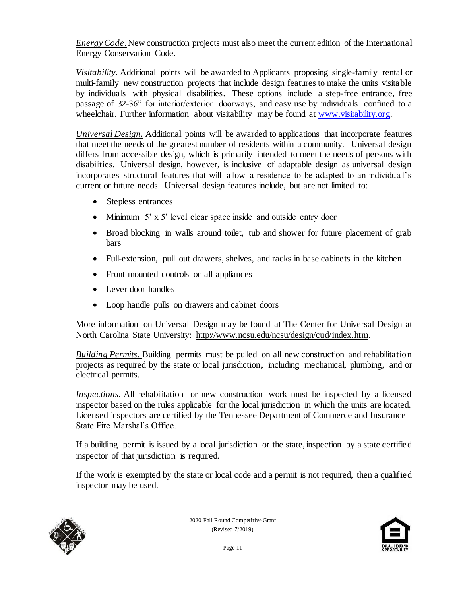*Energy Code*. New construction projects must also meet the current edition of the International Energy Conservation Code.

*Visitability.* Additional points will be awarded to Applicants proposing single-family rental or multi-family new construction projects that include design features to make the units visitable by individuals with physical disabilities. These options include a step-free entrance, free passage of 32-36" for interior/exterior doorways, and easy use by individuals confined to a wheelchair. Further information about visitability may be found at www.visitability.org.

*Universal Design.* Additional points will be awarded to applications that incorporate features that meet the needs of the greatest number of residents within a community. Universal design differs from accessible design, which is primarily intended to meet the needs of persons with disabilities. Universal design, however, is inclusive of adaptable design as universal design incorporates structural features that will allow a residence to be adapted to an individua l's current or future needs. Universal design features include, but are not limited to:

- Stepless entrances
- Minimum 5' x 5' level clear space inside and outside entry door
- Broad blocking in walls around toilet, tub and shower for future placement of grab bars
- Full-extension, pull out drawers, shelves, and racks in base cabinets in the kitchen
- Front mounted controls on all appliances
- Lever door handles
- Loop handle pulls on drawers and cabinet doors

More information on Universal Design may be found at The Center for Universal Design at North Carolina State University: [http://www.ncsu.edu/ncsu/design/cud/index.htm.](http://www.ncsu.edu/ncsu/design/cud/index.htm) 

*Building Permits.* Building permits must be pulled on all new construction and rehabilitation projects as required by the state or local jurisdiction, including mechanical, plumbing, and or electrical permits.

*Inspections*. All rehabilitation or new construction work must be inspected by a licensed inspector based on the rules applicable for the local jurisdiction in which the units are located. Licensed inspectors are certified by the Tennessee Department of Commerce and Insurance – State Fire Marshal's Office.

If a building permit is issued by a local jurisdiction or the state, inspection by a state certified inspector of that jurisdiction is required.

If the work is exempted by the state or local code and a permit is not required, then a qualified inspector may be used.



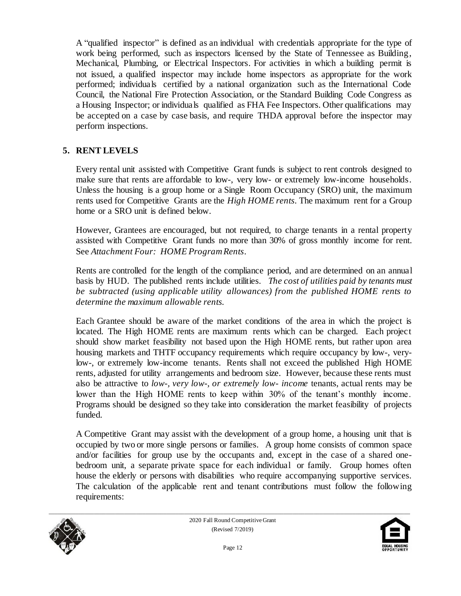A "qualified inspector" is defined as an individual with credentials appropriate for the type of work being performed, such as inspectors licensed by the State of Tennessee as Building, Mechanical, Plumbing, or Electrical Inspectors. For activities in which a building permit is not issued, a qualified inspector may include home inspectors as appropriate for the work performed; individuals certified by a national organization such as the International Code Council, the National Fire Protection Association, or the Standard Building Code Congress as a Housing Inspector; or individuals qualified as FHA Fee Inspectors. Other qualifications may be accepted on a case by case basis, and require THDA approval before the inspector may perform inspections.

#### **5. RENT LEVELS**

Every rental unit assisted with Competitive Grant funds is subject to rent controls designed to make sure that rents are affordable to low-, very low- or extremely low-income households. Unless the housing is a group home or a Single Room Occupancy (SRO) unit, the maximum rents used for Competitive Grants are the *High HOME rents.* The maximum rent for a Group home or a SRO unit is defined below.

However, Grantees are encouraged, but not required, to charge tenants in a rental property assisted with Competitive Grant funds no more than 30% of gross monthly income for rent. See *Attachment Four: HOME Program Rents*.

Rents are controlled for the length of the compliance period, and are determined on an annual basis by HUD. The published rents include utilities. *The cost of utilities paid by tenants must be subtracted (using applicable utility allowances) from the published HOME rents to determine the maximum allowable rents.*

Each Grantee should be aware of the market conditions of the area in which the project is located. The High HOME rents are maximum rents which can be charged. Each project should show market feasibility not based upon the High HOME rents, but rather upon area housing markets and THTF occupancy requirements which require occupancy by low-, verylow-, or extremely low-income tenants. Rents shall not exceed the published High HOME rents, adjusted for utility arrangements and bedroom size. However, because these rents must also be attractive to *low-, very low-, or extremely low- income* tenants, actual rents may be lower than the High HOME rents to keep within 30% of the tenant's monthly income. Programs should be designed so they take into consideration the market feasibility of projects funded.

A Competitive Grant may assist with the development of a group home, a housing unit that is occupied by two or more single persons or families. A group home consists of common space and/or facilities for group use by the occupants and, except in the case of a shared onebedroom unit, a separate private space for each individual or family. Group homes often house the elderly or persons with disabilities who require accompanying supportive services. The calculation of the applicable rent and tenant contributions must follow the following requirements:



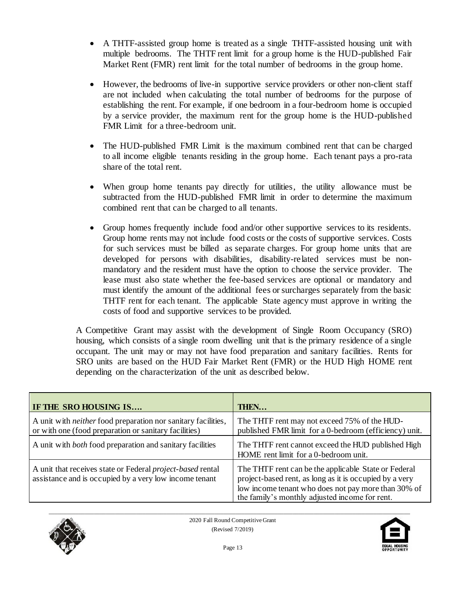- A THTF-assisted group home is treated as a single THTF-assisted housing unit with multiple bedrooms. The THTF rent limit for a group home is the HUD-published Fair Market Rent (FMR) rent limit for the total number of bedrooms in the group home.
- However, the bedrooms of live-in supportive service providers or other non-client staff are not included when calculating the total number of bedrooms for the purpose of establishing the rent. For example, if one bedroom in a four-bedroom home is occupied by a service provider, the maximum rent for the group home is the HUD-published FMR Limit for a three-bedroom unit.
- The HUD-published FMR Limit is the maximum combined rent that can be charged to all income eligible tenants residing in the group home. Each tenant pays a pro-rata share of the total rent.
- When group home tenants pay directly for utilities, the utility allowance must be subtracted from the HUD-published FMR limit in order to determine the maximum combined rent that can be charged to all tenants.
- Group homes frequently include food and/or other supportive services to its residents. Group home rents may not include food costs or the costs of supportive services. Costs for such services must be billed as separate charges. For group home units that are developed for persons with disabilities, disability-related services must be nonmandatory and the resident must have the option to choose the service provider. The lease must also state whether the fee-based services are optional or mandatory and must identify the amount of the additional fees or surcharges separately from the basic THTF rent for each tenant. The applicable State agency must approve in writing the costs of food and supportive services to be provided.

A Competitive Grant may assist with the development of Single Room Occupancy (SRO) housing, which consists of a single room dwelling unit that is the primary residence of a single occupant. The unit may or may not have food preparation and sanitary facilities. Rents for SRO units are based on the HUD Fair Market Rent (FMR) or the HUD High HOME rent depending on the characterization of the unit as described below.

| IF THE SRO HOUSING IS                                                                                                         | THEN                                                                                                                                                                                                                     |
|-------------------------------------------------------------------------------------------------------------------------------|--------------------------------------------------------------------------------------------------------------------------------------------------------------------------------------------------------------------------|
| A unit with <i>neither</i> food preparation nor sanitary facilities,<br>or with one (food preparation or sanitary facilities) | The THTF rent may not exceed 75% of the HUD-<br>published FMR limit for a 0-bedroom (efficiency) unit.                                                                                                                   |
| A unit with <i>both</i> food preparation and sanitary facilities                                                              | The THTF rent cannot exceed the HUD published High<br>HOME rent limit for a 0-bedroom unit.                                                                                                                              |
| A unit that receives state or Federal <i>project-based</i> rental<br>assistance and is occupied by a very low income tenant   | The THTF rent can be the applicable State or Federal<br>project-based rent, as long as it is occupied by a very<br>low income tenant who does not pay more than 30% of<br>the family's monthly adjusted income for rent. |



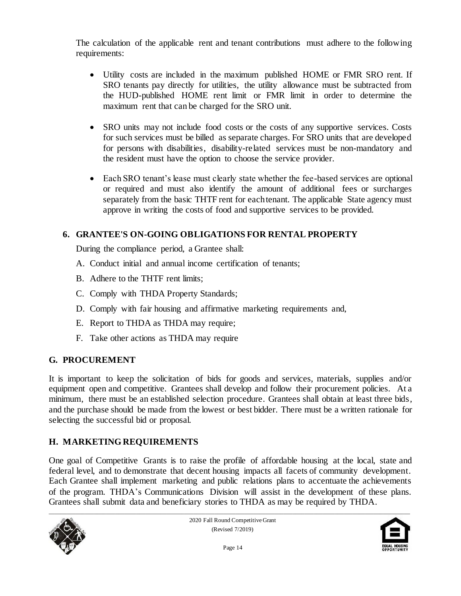The calculation of the applicable rent and tenant contributions must adhere to the following requirements:

- Utility costs are included in the maximum published HOME or FMR SRO rent. If SRO tenants pay directly for utilities, the utility allowance must be subtracted from the HUD-published HOME rent limit or FMR limit in order to determine the maximum rent that can be charged for the SRO unit.
- SRO units may not include food costs or the costs of any supportive services. Costs for such services must be billed as separate charges. For SRO units that are developed for persons with disabilities, disability-related services must be non-mandatory and the resident must have the option to choose the service provider.
- Each SRO tenant's lease must clearly state whether the fee-based services are optional or required and must also identify the amount of additional fees or surcharges separately from the basic THTF rent for each tenant. The applicable State agency must approve in writing the costs of food and supportive services to be provided.

## **6. GRANTEE'S ON-GOING OBLIGATIONS FOR RENTAL PROPERTY**

During the compliance period, a Grantee shall:

- A. Conduct initial and annual income certification of tenants;
- B. Adhere to the THTF rent limits;
- C. Comply with THDA Property Standards;
- D. Comply with fair housing and affirmative marketing requirements and,
- E. Report to THDA as THDA may require;
- F. Take other actions as THDA may require

## **G. PROCUREMENT**

It is important to keep the solicitation of bids for goods and services, materials, supplies and/or equipment open and competitive. Grantees shall develop and follow their procurement policies. At a minimum, there must be an established selection procedure. Grantees shall obtain at least three bids, and the purchase should be made from the lowest or best bidder. There must be a written rationale for selecting the successful bid or proposal.

## **H. MARKETING REQUIREMENTS**

One goal of Competitive Grants is to raise the profile of affordable housing at the local, state and federal level, and to demonstrate that decent housing impacts all facets of community development. Each Grantee shall implement marketing and public relations plans to accentuate the achievements of the program. THDA's Communications Division will assist in the development of these plans. Grantees shall submit data and beneficiary stories to THDA as may be required by THDA.



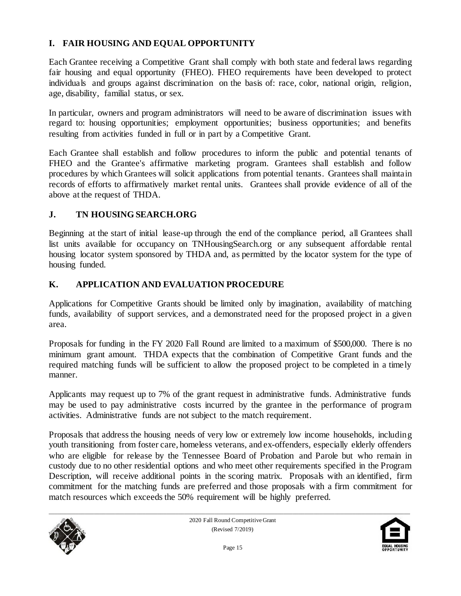## **I. FAIR HOUSING AND EQUAL OPPORTUNITY**

Each Grantee receiving a Competitive Grant shall comply with both state and federal laws regarding fair housing and equal opportunity (FHEO). FHEO requirements have been developed to protect individuals and groups against discrimination on the basis of: race, color, national origin, religion, age, disability, familial status, or sex.

In particular, owners and program administrators will need to be aware of discrimination issues with regard to: housing opportunities; employment opportunities; business opportunities; and benefits resulting from activities funded in full or in part by a Competitive Grant.

Each Grantee shall establish and follow procedures to inform the public and potential tenants of FHEO and the Grantee's affirmative marketing program. Grantees shall establish and follow procedures by which Grantees will solicit applications from potential tenants. Grantees shall maintain records of efforts to affirmatively market rental units. Grantees shall provide evidence of all of the above at the request of THDA.

#### **J. TN HOUSING SEARCH.ORG**

Beginning at the start of initial lease-up through the end of the compliance period, all Grantees shall list units available for occupancy on TNHousingSearch.org or any subsequent affordable rental housing locator system sponsored by THDA and, as permitted by the locator system for the type of housing funded.

#### **K. APPLICATION AND EVALUATION PROCEDURE**

Applications for Competitive Grants should be limited only by imagination, availability of matching funds, availability of support services, and a demonstrated need for the proposed project in a given area.

Proposals for funding in the FY 2020 Fall Round are limited to a maximum of \$500,000. There is no minimum grant amount. THDA expects that the combination of Competitive Grant funds and the required matching funds will be sufficient to allow the proposed project to be completed in a timely manner.

Applicants may request up to 7% of the grant request in administrative funds. Administrative funds may be used to pay administrative costs incurred by the grantee in the performance of program activities. Administrative funds are not subject to the match requirement.

Proposals that address the housing needs of very low or extremely low income households, including youth transitioning from foster care, homeless veterans, and ex-offenders, especially elderly offenders who are eligible for release by the Tennessee Board of Probation and Parole but who remain in custody due to no other residential options and who meet other requirements specified in the Program Description, will receive additional points in the scoring matrix. Proposals with an identified, firm commitment for the matching funds are preferred and those proposals with a firm commitment for match resources which exceeds the 50% requirement will be highly preferred.



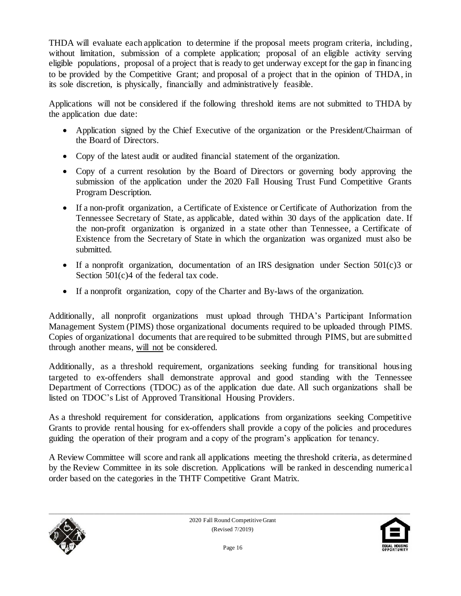THDA will evaluate each application to determine if the proposal meets program criteria, including, without limitation, submission of a complete application; proposal of an eligible activity serving eligible populations, proposal of a project that is ready to get underway except for the gap in financing to be provided by the Competitive Grant; and proposal of a project that in the opinion of THDA, in its sole discretion, is physically, financially and administratively feasible.

Applications will not be considered if the following threshold items are not submitted to THDA by the application due date:

- Application signed by the Chief Executive of the organization or the President/Chairman of the Board of Directors.
- Copy of the latest audit or audited financial statement of the organization.
- Copy of a current resolution by the Board of Directors or governing body approving the submission of the application under the 2020 Fall Housing Trust Fund Competitive Grants Program Description.
- If a non-profit organization, a Certificate of Existence or Certificate of Authorization from the Tennessee Secretary of State, as applicable, dated within 30 days of the application date. If the non-profit organization is organized in a state other than Tennessee, a Certificate of Existence from the Secretary of State in which the organization was organized must also be submitted.
- If a nonprofit organization, documentation of an IRS designation under Section  $501(c)3$  or Section 501(c)4 of the federal tax code.
- If a nonprofit organization, copy of the Charter and By-laws of the organization.

Additionally, all nonprofit organizations must upload through THDA's Participant Information Management System (PIMS) those organizational documents required to be uploaded through PIMS. Copies of organizational documents that are required to be submitted through PIMS, but are submitted through another means, will not be considered.

Additionally, as a threshold requirement, organizations seeking funding for transitional housing targeted to ex-offenders shall demonstrate approval and good standing with the Tennessee Department of Corrections (TDOC) as of the application due date. All such organizations shall be listed on TDOC's List of Approved Transitional Housing Providers.

As a threshold requirement for consideration, applications from organizations seeking Competitive Grants to provide rental housing for ex-offenders shall provide a copy of the policies and procedures guiding the operation of their program and a copy of the program's application for tenancy.

A Review Committee will score and rank all applications meeting the threshold criteria, as determined by the Review Committee in its sole discretion. Applications will be ranked in descending numerical order based on the categories in the THTF Competitive Grant Matrix.



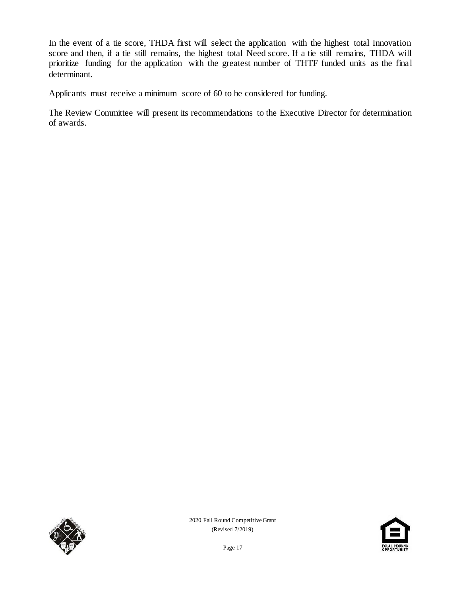In the event of a tie score, THDA first will select the application with the highest total Innovation score and then, if a tie still remains, the highest total Need score. If a tie still remains, THDA will prioritize funding for the application with the greatest number of THTF funded units as the final determinant.

Applicants must receive a minimum score of 60 to be considered for funding.

The Review Committee will present its recommendations to the Executive Director for determination of awards.



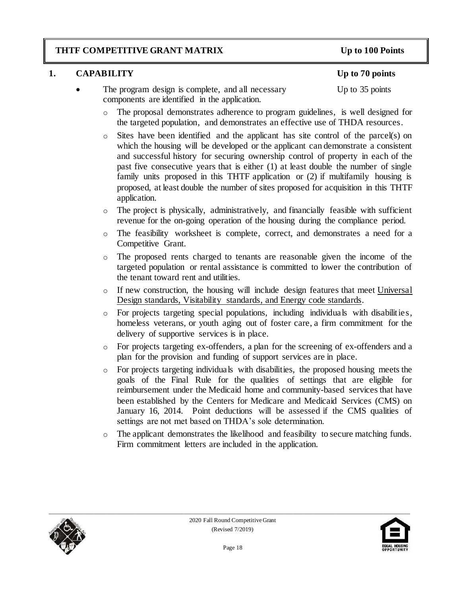### **THTF COMPETITIVE GRANT MATRIX Up to 100 Points**

### **1. CAPABILITY Up to 70 points**

- The program design is complete, and all necessary Up to 35 points components are identified in the application.
	- o The proposal demonstrates adherence to program guidelines, is well designed for the targeted population, and demonstrates an effective use of THDA resources.
	- o Sites have been identified and the applicant has site control of the parcel(s) on which the housing will be developed or the applicant can demonstrate a consistent and successful history for securing ownership control of property in each of the past five consecutive years that is either (1) at least double the number of single family units proposed in this THTF application or (2) if multifamily housing is proposed, at least double the number of sites proposed for acquisition in this THTF application.
	- o The project is physically, administratively, and financially feasible with sufficient revenue for the on-going operation of the housing during the compliance period.
	- o The feasibility worksheet is complete, correct, and demonstrates a need for a Competitive Grant.
	- o The proposed rents charged to tenants are reasonable given the income of the targeted population or rental assistance is committed to lower the contribution of the tenant toward rent and utilities.
	- $\circ$  If new construction, the housing will include design features that meet Universal Design standards, Visitability standards, and Energy code standards.
	- o For projects targeting special populations, including individuals with disabilities, homeless veterans, or youth aging out of foster care, a firm commitment for the delivery of supportive services is in place.
	- o For projects targeting ex-offenders, a plan for the screening of ex-offenders and a plan for the provision and funding of support services are in place.
	- o For projects targeting individuals with disabilities, the proposed housing meets the goals of the Final Rule for the qualities of settings that are eligible for reimbursement under the Medicaid home and community-based services that have been established by the Centers for Medicare and Medicaid Services (CMS) on January 16, 2014. Point deductions will be assessed if the CMS qualities of settings are not met based on THDA's sole determination.
	- o The applicant demonstrates the likelihood and feasibility to secure matching funds. Firm commitment letters are included in the application.



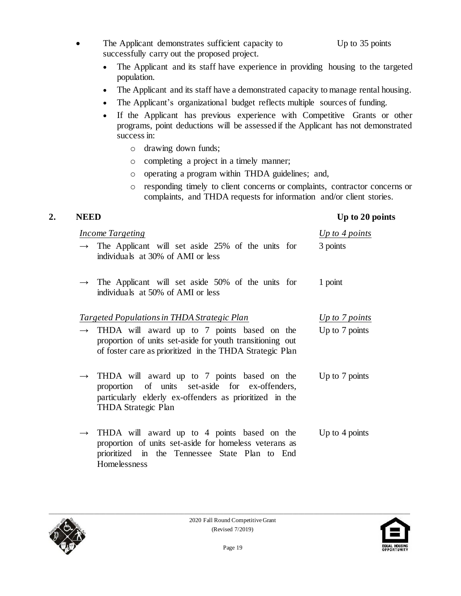- The Applicant demonstrates sufficient capacity to Up to 35 points successfully carry out the proposed project.
	- The Applicant and its staff have experience in providing housing to the targeted population.
	- The Applicant and its staff have a demonstrated capacity to manage rental housing.
	- The Applicant's organizational budget reflects multiple sources of funding.
	- If the Applicant has previous experience with Competitive Grants or other programs, point deductions will be assessed if the Applicant has not demonstrated success in:
		- o drawing down funds;
		- o completing a project in a timely manner;
		- o operating a program within THDA guidelines; and,
		- o responding timely to client concerns or complaints, contractor concerns or complaints, and THDA requests for information and/or client stories.

### **2. NEED Up to 20 points**

| <i>Income Targeting</i>                     |                                                                                                                                                                                                | Up to 4 points   |
|---------------------------------------------|------------------------------------------------------------------------------------------------------------------------------------------------------------------------------------------------|------------------|
|                                             | $\rightarrow$ The Applicant will set aside 25% of the units for<br>individuals at 30% of AMI or less                                                                                           | 3 points         |
|                                             | $\rightarrow$ The Applicant will set aside 50% of the units for<br>individuals at 50% of AMI or less                                                                                           | 1 point          |
| Targeted Populations in THDA Strategic Plan |                                                                                                                                                                                                | Up to 7 points   |
|                                             | $\rightarrow$ THDA will award up to 7 points based on the<br>proportion of units set-aside for youth transitioning out<br>of foster care as prioritized in the THDA Strategic Plan             | Up to 7 points   |
|                                             | $\rightarrow$ THDA will award up to 7 points based on the<br>proportion of units set-aside for ex-offenders,<br>particularly elderly ex-offenders as prioritized in the<br>THDA Strategic Plan | Up to 7 points   |
|                                             | $\rightarrow$ THDA will award up to 4 points based on the<br>proportion of units set-aside for homeless veterans as<br>prioritized in the Tennessee State Plan to End<br>Homelessness          | Up to $4$ points |